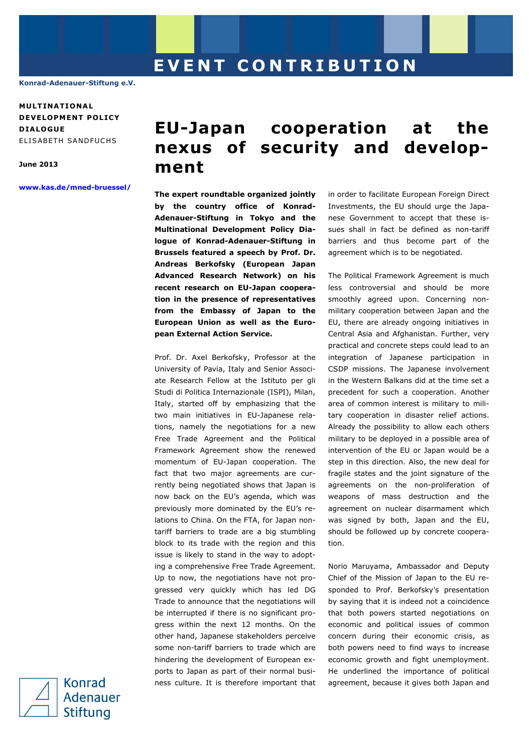**Konrad-Adenauer-Stiftung e.V.** 

**MULT INAT IONA L DEVELOPMENT POLICY D IALOGUE**  ELISABETH SANDFUCHS

**June 2013** 

**www.kas.de/mned-bruessel/**

## **EU-Japan cooperation at the nexus of security and development**

**The expert roundtable organized jointly by the country office of Konrad-Adenauer-Stiftung in Tokyo and the Multinational Development Policy Dialogue of Konrad-Adenauer-Stiftung in Brussels featured a speech by Prof. Dr. Andreas Berkofsky (European Japan Advanced Research Network) on his recent research on EU-Japan cooperation in the presence of representatives from the Embassy of Japan to the European Union as well as the European External Action Service.** 

Prof. Dr. Axel Berkofsky, Professor at the University of Pavia, Italy and Senior Associate Research Fellow at the Istituto per gli Studi di Politica Internazionale (ISPI), Milan, Italy, started off by emphasizing that the two main initiatives in EU-Japanese relations, namely the negotiations for a new Free Trade Agreement and the Political Framework Agreement show the renewed momentum of EU-Japan cooperation. The fact that two major agreements are currently being negotiated shows that Japan is now back on the EU's agenda, which was previously more dominated by the EU's relations to China. On the FTA, for Japan nontariff barriers to trade are a big stumbling block to its trade with the region and this issue is likely to stand in the way to adopting a comprehensive Free Trade Agreement. Up to now, the negotiations have not progressed very quickly which has led DG Trade to announce that the negotiations will be interrupted if there is no significant progress within the next 12 months. On the other hand, Japanese stakeholders perceive some non-tariff barriers to trade which are hindering the development of European exports to Japan as part of their normal business culture. It is therefore important that in order to facilitate European Foreign Direct Investments, the EU should urge the Japanese Government to accept that these issues shall in fact be defined as non-tariff barriers and thus become part of the agreement which is to be negotiated.

The Political Framework Agreement is much less controversial and should be more smoothly agreed upon. Concerning nonmilitary cooperation between Japan and the EU, there are already ongoing initiatives in Central Asia and Afghanistan. Further, very practical and concrete steps could lead to an integration of Japanese participation in CSDP missions. The Japanese involvement in the Western Balkans did at the time set a precedent for such a cooperation. Another area of common interest is military to military cooperation in disaster relief actions. Already the possibility to allow each others military to be deployed in a possible area of intervention of the EU or Japan would be a step in this direction. Also, the new deal for fragile states and the joint signature of the agreements on the non-proliferation of weapons of mass destruction and the agreement on nuclear disarmament which was signed by both, Japan and the EU, should be followed up by concrete cooperation.

Norio Maruyama, Ambassador and Deputy Chief of the Mission of Japan to the EU responded to Prof. Berkofsky's presentation by saying that it is indeed not a coincidence that both powers started negotiations on economic and political issues of common concern during their economic crisis, as both powers need to find ways to increase economic growth and fight unemployment. He underlined the importance of political agreement, because it gives both Japan and

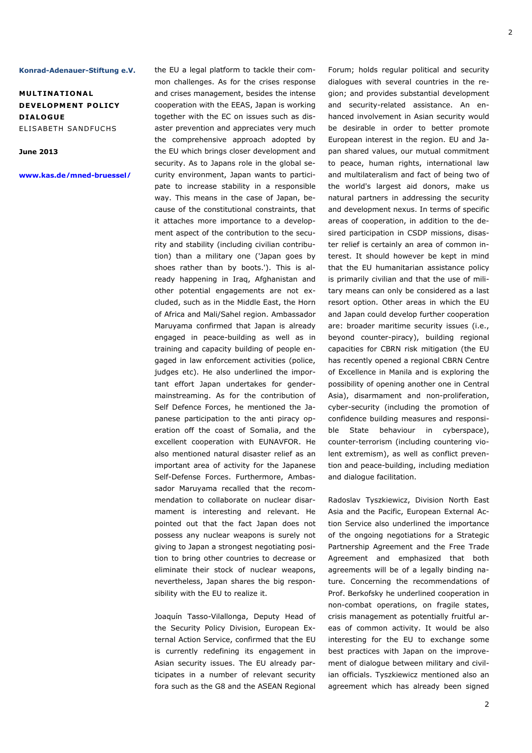## **Konrad-Adenauer-Stiftung e.V.**

**MULT INAT IONA L DEVELOPMENT POLICY D IALOGUE**  ELISABETH SANDFUCHS

## **June 2013**

**www.kas.de/mned-bruessel/**

the EU a legal platform to tackle their common challenges. As for the crises response and crises management, besides the intense cooperation with the EEAS, Japan is working together with the EC on issues such as disaster prevention and appreciates very much the comprehensive approach adopted by the EU which brings closer development and security. As to Japans role in the global security environment, Japan wants to participate to increase stability in a responsible way. This means in the case of Japan, because of the constitutional constraints, that it attaches more importance to a development aspect of the contribution to the security and stability (including civilian contribution) than a military one ('Japan goes by shoes rather than by boots.'). This is already happening in Iraq, Afghanistan and other potential engagements are not excluded, such as in the Middle East, the Horn of Africa and Mali/Sahel region. Ambassador Maruyama confirmed that Japan is already engaged in peace-building as well as in training and capacity building of people engaged in law enforcement activities (police, judges etc). He also underlined the important effort Japan undertakes for gendermainstreaming. As for the contribution of Self Defence Forces, he mentioned the Japanese participation to the anti piracy operation off the coast of Somalia, and the excellent cooperation with EUNAVFOR. He also mentioned natural disaster relief as an important area of activity for the Japanese Self-Defense Forces. Furthermore, Ambassador Maruyama recalled that the recommendation to collaborate on nuclear disarmament is interesting and relevant. He pointed out that the fact Japan does not possess any nuclear weapons is surely not giving to Japan a strongest negotiating position to bring other countries to decrease or eliminate their stock of nuclear weapons, nevertheless, Japan shares the big responsibility with the EU to realize it.

Joaquín Tasso-Vilallonga, Deputy Head of the Security Policy Division, European External Action Service, confirmed that the EU is currently redefining its engagement in Asian security issues. The EU already participates in a number of relevant security fora such as the G8 and the ASEAN Regional

Forum; holds regular political and security dialogues with several countries in the region; and provides substantial development and security-related assistance. An enhanced involvement in Asian security would be desirable in order to better promote European interest in the region. EU and Japan shared values, our mutual commitment to peace, human rights, international law and multilateralism and fact of being two of the world's largest aid donors, make us natural partners in addressing the security and development nexus. In terms of specific areas of cooperation, in addition to the desired participation in CSDP missions, disaster relief is certainly an area of common interest. It should however be kept in mind that the EU humanitarian assistance policy is primarily civilian and that the use of military means can only be considered as a last resort option. Other areas in which the EU and Japan could develop further cooperation are: broader maritime security issues (i.e., beyond counter-piracy), building regional capacities for CBRN risk mitigation (the EU has recently opened a regional CBRN Centre of Excellence in Manila and is exploring the possibility of opening another one in Central Asia), disarmament and non-proliferation, cyber-security (including the promotion of confidence building measures and responsible State behaviour in cyberspace), counter-terrorism (including countering violent extremism), as well as conflict prevention and peace-building, including mediation and dialogue facilitation.

Radoslav Tyszkiewicz, Division North East Asia and the Pacific, European External Action Service also underlined the importance of the ongoing negotiations for a Strategic Partnership Agreement and the Free Trade Agreement and emphasized that both agreements will be of a legally binding nature. Concerning the recommendations of Prof. Berkofsky he underlined cooperation in non-combat operations, on fragile states, crisis management as potentially fruitful areas of common activity. It would be also interesting for the EU to exchange some best practices with Japan on the improvement of dialogue between military and civilian officials. Tyszkiewicz mentioned also an agreement which has already been signed